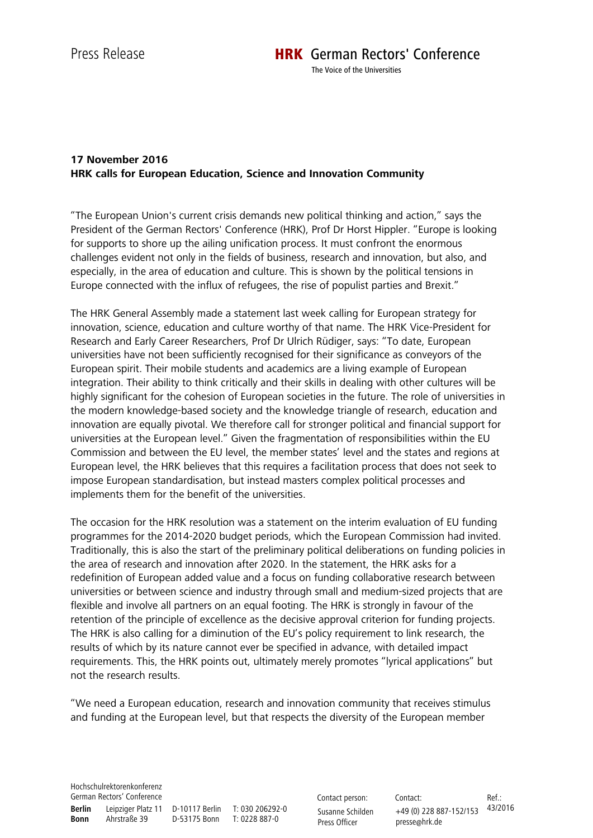The Voice of the Universities

## **17 November 2016 HRK calls for European Education, Science and Innovation Community**

"The European Union's current crisis demands new political thinking and action," says the President of the German Rectors' Conference (HRK), Prof Dr Horst Hippler. "Europe is looking for supports to shore up the ailing unification process. It must confront the enormous challenges evident not only in the fields of business, research and innovation, but also, and especially, in the area of education and culture. This is shown by the political tensions in Europe connected with the influx of refugees, the rise of populist parties and Brexit."

The HRK General Assembly made a statement last week calling for European strategy for innovation, science, education and culture worthy of that name. The HRK Vice-President for Research and Early Career Researchers, Prof Dr Ulrich Rüdiger, says: "To date, European universities have not been sufficiently recognised for their significance as conveyors of the European spirit. Their mobile students and academics are a living example of European integration. Their ability to think critically and their skills in dealing with other cultures will be highly significant for the cohesion of European societies in the future. The role of universities in the modern knowledge-based society and the knowledge triangle of research, education and innovation are equally pivotal. We therefore call for stronger political and financial support for universities at the European level." Given the fragmentation of responsibilities within the EU Commission and between the EU level, the member states' level and the states and regions at European level, the HRK believes that this requires a facilitation process that does not seek to impose European standardisation, but instead masters complex political processes and implements them for the benefit of the universities.

The occasion for the HRK resolution was a statement on the interim evaluation of EU funding programmes for the 2014-2020 budget periods, which the European Commission had invited. Traditionally, this is also the start of the preliminary political deliberations on funding policies in the area of research and innovation after 2020. In the statement, the HRK asks for a redefinition of European added value and a focus on funding collaborative research between universities or between science and industry through small and medium-sized projects that are flexible and involve all partners on an equal footing. The HRK is strongly in favour of the retention of the principle of excellence as the decisive approval criterion for funding projects. The HRK is also calling for a diminution of the EU's policy requirement to link research, the results of which by its nature cannot ever be specified in advance, with detailed impact requirements. This, the HRK points out, ultimately merely promotes "lyrical applications" but not the research results.

"We need a European education, research and innovation community that receives stimulus and funding at the European level, but that respects the diversity of the European member

Hochschulrektorenkonferenz German Rectors' Conference **Berlin** Leipziger Platz 11 D-10117 Berlin T: 030 206292-0 **Bonn** Ahrstraße 39 D-53175 Bonn T: 0228 887-0

Contact person: Susanne Schilden Press Officer

Contact: +49 (0) 228 887-152/153 43/2016 presse@hrk.de Ref.: